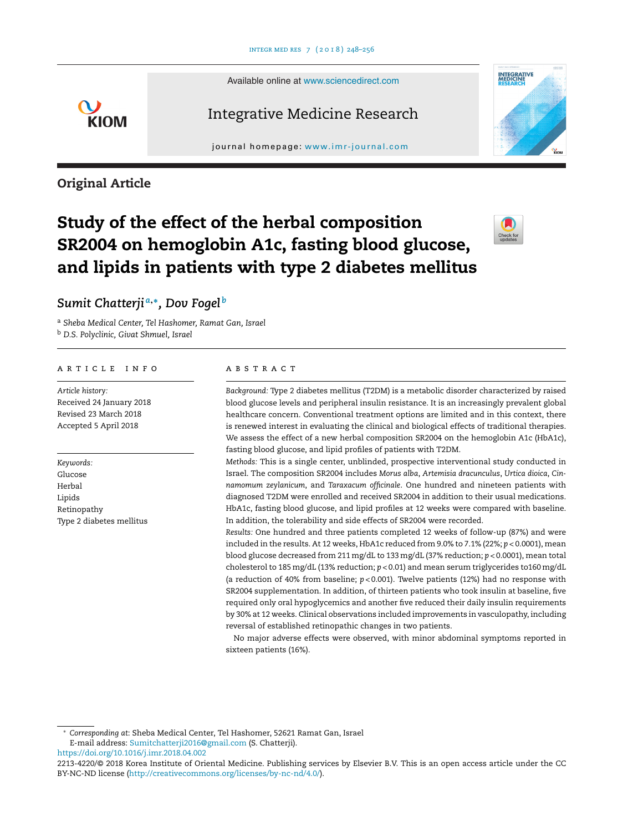Available online at [www.sciencedirect.com](http://www.sciencedirect.com/science/journal/22134220)

# **KIOM**

Integrative Medicine Research

journal homepage: [www.imr-journal.com](http://www.imr-journal.com)



### **Original Article**

# **Study of the effect of the herbal composition SR2004 on hemoglobin A1c, fasting blood glucose, and lipids in patients with type 2 diabetes mellitus**



## *Sumit Chatterji <sup>a</sup>***,∗***, Dov Fogel <sup>b</sup>*

<sup>a</sup> *Sheba Medical Center, Tel Hashomer, Ramat Gan, Israel* <sup>b</sup> *D.S. Polyclinic, Givat Shmuel, Israel*

#### article info

*Article history:* Received 24 January 2018 Revised 23 March 2018 Accepted 5 April 2018

*Keywords:* Glucose Herbal Lipids Retinopathy Type 2 diabetes mellitus

#### **ABSTRACT**

*Background:* Type 2 diabetes mellitus (T2DM) is a metabolic disorder characterized by raised blood glucose levels and peripheral insulin resistance. It is an increasingly prevalent global healthcare concern. Conventional treatment options are limited and in this context, there is renewed interest in evaluating the clinical and biological effects of traditional therapies. We assess the effect of a new herbal composition SR2004 on the hemoglobin A1c (HbA1c), fasting blood glucose, and lipid profiles of patients with T2DM.

*Methods:* This is a single center, unblinded, prospective interventional study conducted in Israel. The composition SR2004 includes *Morus alba*, *Artemisia dracunculus*, *Urtica dioica*, *Cinnamomum zeylanicum*, and *Taraxacum officinale*. One hundred and nineteen patients with diagnosed T2DM were enrolled and received SR2004 in addition to their usual medications. HbA1c, fasting blood glucose, and lipid profiles at 12 weeks were compared with baseline. In addition, the tolerability and side effects of SR2004 were recorded.

*Results:* One hundred and three patients completed 12 weeks of follow-up (87%) and were included in the results. At 12 weeks, HbA1c reduced from 9.0% to 7.1% (22%; *p* < 0.0001), mean blood glucose decreased from 211mg/dL to 133mg/dL (37% reduction; *p* < 0.0001), mean total cholesterol to 185mg/dL (13% reduction; *p* < 0.01) and mean serum triglycerides to160mg/dL (a reduction of 40% from baseline; *p* < 0.001). Twelve patients (12%) had no response with SR2004 supplementation. In addition, of thirteen patients who took insulin at baseline, five required only oral hypoglycemics and another five reduced their daily insulin requirements by 30% at 12 weeks. Clinical observations included improvements in vasculopathy, including reversal of established retinopathic changes in two patients.

No major adverse effects were observed, with minor abdominal symptoms reported in sixteen patients (16%).

∗ *Corresponding at*: Sheba Medical Center, Tel Hashomer, 52621 Ramat Gan, Israel E-mail address: [Sumitchatterji2016@gmail.com](mailto:Sumitchatterji2016@gmail.com) (S. Chatterji).

<https://doi.org/10.1016/j.imr.2018.04.002>

<sup>2213-4220/© 2018</sup> Korea Institute of Oriental Medicine. Publishing services by Elsevier B.V. This is an open access article under the CC BY-NC-ND license [\(http://creativecommons.org/licenses/by-nc-nd/4.0/](http://creativecommons.org/licenses/by-nc-nd/4.0/)).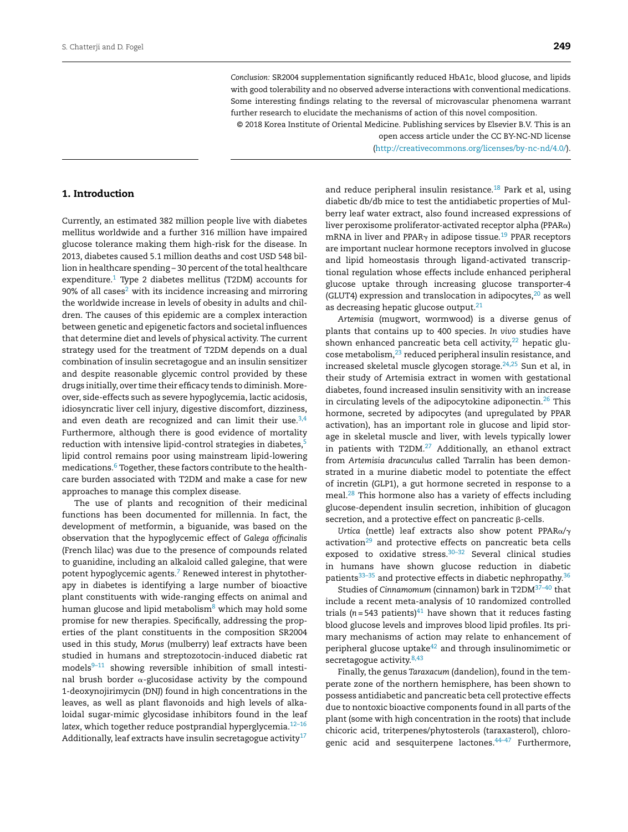*Conclusion:* SR2004 supplementation significantly reduced HbA1c, blood glucose, and lipids with good tolerability and no observed adverse interactions with conventional medications. Some interesting findings relating to the reversal of microvascular phenomena warrant further research to elucidate the mechanisms of action of this novel composition.

© 2018 Korea Institute of Oriental Medicine. Publishing services by Elsevier B.V. This is an open access article under the CC BY-NC-ND license

([http://creativecommons.org/licenses/by-nc-nd/4.0/\)](http://creativecommons.org/licenses/by-nc-nd/4.0/).

#### **1. Introduction**

Currently, an estimated 382 million people live with diabetes mellitus worldwide and a further 316 million have impaired glucose tolerance making them high-risk for the disease. In 2013, diabetes caused 5.1 million deaths and cost USD 548 billion in healthcare spending – 30 percent of the total healthcare expenditure.<sup>1</sup> Type 2 diabetes mellitus (T2DM) accounts for  $90\%$  of all cases<sup>[2](#page-6-0)</sup> with its incidence increasing and mirroring the worldwide increase in levels of obesity in adults and children. The causes of this epidemic are a complex interaction between genetic and epigenetic factors and societal influences that determine diet and levels of physical activity. The current strategy used for the treatment of T2DM depends on a dual combination of insulin secretagogue and an insulin sensitizer and despite reasonable glycemic control provided by these drugs initially, over time their efficacy tends to diminish. Moreover, side-effects such as severe hypoglycemia, lactic acidosis, idiosyncratic liver cell injury, digestive discomfort, dizziness, and even death are recognized and can limit their use. $3,4$ Furthermore, although there is good evidence of mortality reduction with intensive lipid-control strategies in diabetes,<sup>5</sup> lipid control remains poor using mainstream lipid-lowering medications.<sup>6</sup> Together, these factors contribute to the healthcare burden associated with T2DM and make a case for new approaches to manage this complex disease.

The use of plants and recognition of their medicinal functions has been documented for millennia. In fact, the development of metformin, a biguanide, was based on the observation that the hypoglycemic effect of *Galega officinalis* (French lilac) was due to the presence of compounds related to guanidine, including an alkaloid called galegine, that were potent hypoglycemic agents.<sup>[7](#page-7-0)</sup> Renewed interest in phytotherapy in diabetes is identifying a large number of bioactive plant constituents with wide-ranging effects on animal and human glucose and lipid metabolism $8$  which may hold some promise for new therapies. Specifically, addressing the properties of the plant constituents in the composition SR2004 used in this study, *Morus* (mulberry) leaf extracts have been studied in humans and streptozotocin-induced diabetic rat  $models<sup>9-11</sup>$  showing reversible inhibition of small intestinal brush border  $\alpha$ -glucosidase activity by the compound 1-deoxynojirimycin (DNJ) found in high concentrations in the leaves, as well as plant flavonoids and high levels of alkaloidal sugar-mimic glycosidase inhibitors found in the leaf *latex*, which together reduce postprandial hyperglycemia[.12–16](#page-7-0) Additionally, leaf extracts have insulin secretagogue activity $17$ 

and reduce peripheral insulin resistance.<sup>[18](#page-7-0)</sup> Park et al, using diabetic db/db mice to test the antidiabetic properties of Mulberry leaf water extract, also found increased expressions of liver peroxisome proliferator-activated receptor alpha (PPAR $\alpha$ ) mRNA in liver and PPAR $\gamma$  in adipose tissue.<sup>[19](#page-7-0)</sup> PPAR receptors are important nuclear hormone receptors involved in glucose and lipid homeostasis through ligand-activated transcriptional regulation whose effects include enhanced peripheral glucose uptake through increasing glucose transporter-4 (GLUT4) expression and translocation in adipocytes, $20$  as well as decreasing hepatic glucose output.<sup>21</sup>

*Artemisia* (mugwort, wormwood) is a diverse genus of plants that contains up to 400 species. *In vivo* studies have shown enhanced pancreatic beta cell activity, $22$  hepatic glucose metabolism,[23](#page-7-0) reduced peripheral insulin resistance, and increased skeletal muscle glycogen storage. $24,25$  Sun et al, in their study of Artemisia extract in women with gestational diabetes, found increased insulin sensitivity with an increase in circulating levels of the adipocytokine adiponectin.<sup>26</sup> This hormone, secreted by adipocytes (and upregulated by PPAR activation), has an important role in glucose and lipid storage in skeletal muscle and liver, with levels typically lower in patients with T2DM. $^{27}$  $^{27}$  $^{27}$  Additionally, an ethanol extract from *Artemisia dracunculus* called Tarralin has been demonstrated in a murine diabetic model to potentiate the effect of incretin (GLP1), a gut hormone secreted in response to a meal.<sup>[28](#page-7-0)</sup> This hormone also has a variety of effects including glucose-dependent insulin secretion, inhibition of glucagon secretion, and a protective effect on pancreatic  $\beta$ -cells.

Urtica (nettle) leaf extracts also show potent  $PPAR\alpha/\gamma$ activation<sup>[29](#page-7-0)</sup> and protective effects on pancreatic beta cells exposed to oxidative stress. $30-32$  Several clinical studies in humans have shown glucose reduction in diabetic patients $33-35$  and protective effects in diabetic nephropathy.  $36$ 

Studies of *Cinnamomum* (cinnamon) bark in T2D[M37–40](#page-7-0) that include a recent meta-analysis of 10 randomized controlled trials ( $n = 543$  patients)<sup>[41](#page-7-0)</sup> have shown that it reduces fasting blood glucose levels and improves blood lipid profiles. Its primary mechanisms of action may relate to enhancement of peripheral glucose uptake<sup>42</sup> and through insulinomimetic or secretagogue activity.<sup>[8,43](#page-7-0)</sup>

Finally, the genus *Taraxacum* (dandelion), found in the temperate zone of the northern hemisphere, has been shown to possess antidiabetic and pancreatic beta cell protective effects due to nontoxic bioactive components found in all parts of the plant (some with high concentration in the roots) that include chicoric acid, triterpenes/phytosterols (taraxasterol), chlorogenic acid and sesquiterpene lactones.<sup>44-47</sup> Furthermore,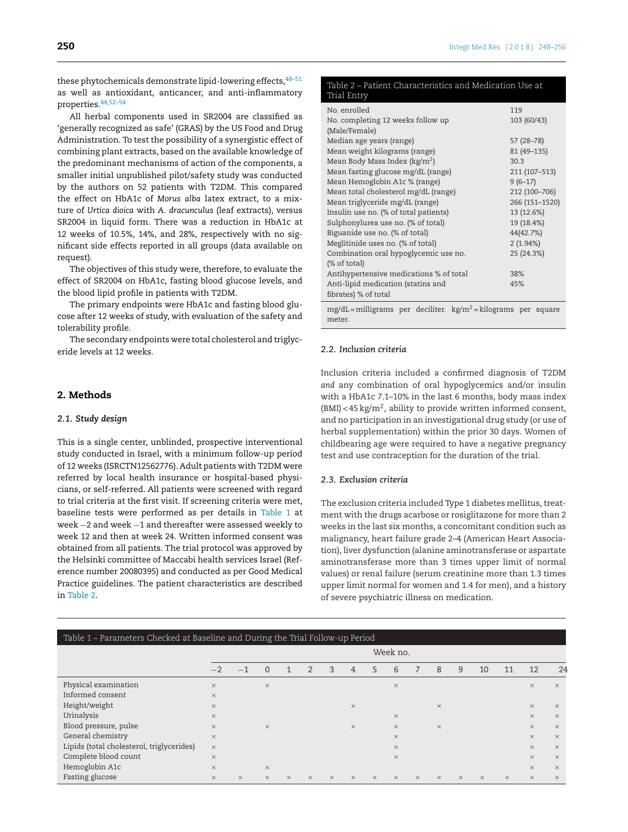<span id="page-2-0"></span>these phytochemicals demonstrate lipid-lowering effects,  $48-51$ as well as antioxidant, anticancer, and anti-inflammatory properties.[44,52–54](#page-8-0)

All herbal components used in SR2004 are classified as 'generally recognized as safe' (GRAS) by the US Food and Drug Administration. To test the possibility of a synergistic effect of combining plant extracts, based on the available knowledge of the predominant mechanisms of action of the components, a smaller initial unpublished pilot/safety study was conducted by the authors on 52 patients with T2DM. This compared the effect on HbA1c of *Morus alba* latex extract, to a mixture of *Urtica dioica* with *A. dracunculus* (leaf extracts), versus SR2004 in liquid form. There was a reduction in HbA1c at 12 weeks of 10.5%, 14%, and 28%, respectively with no significant side effects reported in all groups (data available on request).

The objectives of this study were, therefore, to evaluate the effect of SR2004 on HbA1c, fasting blood glucose levels, and the blood lipid profile in patients with T2DM.

The primary endpoints were HbA1c and fasting blood glucose after 12 weeks of study, with evaluation of the safety and tolerability profile.

The secondary endpoints were total cholesterol and triglyceride levels at 12 weeks.

#### **2. Methods**

#### *2.1. Study design*

This is a single center, unblinded, prospective interventional study conducted in Israel, with a minimum follow-up period of 12 weeks (ISRCTN12562776). Adult patients with T2DM were referred by local health insurance or hospital-based physicians, or self-referred. All patients were screened with regard to trial criteria at the first visit. If screening criteria were met, baseline tests were performed as per details in Table 1 at week −2 and week −1 and thereafter were assessed weekly to week 12 and then at week 24. Written informed consent was obtained from all patients. The trial protocol was approved by the Helsinki committee of Maccabi health services Israel (Reference number 20080395) and conducted as per Good Medical Practice guidelines. The patient characteristics are described in Table 2.

| Table 2 – Patient Characteristics and Medication Use at<br>Trial Entry |                |  |  |  |  |  |  |  |
|------------------------------------------------------------------------|----------------|--|--|--|--|--|--|--|
| No. enrolled                                                           | 119            |  |  |  |  |  |  |  |
| No. completing 12 weeks follow up                                      | 103 (60/43)    |  |  |  |  |  |  |  |
| (Male/Female)                                                          |                |  |  |  |  |  |  |  |
| Median age years (range)                                               | 57 (28-78)     |  |  |  |  |  |  |  |
| Mean weight kilograms (range)                                          | 81 (49-135)    |  |  |  |  |  |  |  |
| Mean Body Mass Index (kg/m <sup>2</sup> )                              | 30.3           |  |  |  |  |  |  |  |
| Mean fasting glucose mg/dL (range)                                     | 211 (107-513)  |  |  |  |  |  |  |  |
| Mean Hemoglobin A1c % (range)                                          | $9(6-17)$      |  |  |  |  |  |  |  |
| Mean total cholesterol mg/dL (range)                                   | 212 (100-706)  |  |  |  |  |  |  |  |
| Mean triglyceride mg/dL (range)                                        | 266 (151-1520) |  |  |  |  |  |  |  |
| Insulin use no. (% of total patients)                                  | 13 (12.6%)     |  |  |  |  |  |  |  |
| Sulphonylurea use no. (% of total)                                     | 19 (18.4%)     |  |  |  |  |  |  |  |
| Biguanide use no. (% of total)                                         | 44(42.7%)      |  |  |  |  |  |  |  |
| Meglitinide uses no. (% of total)                                      | 2(1.94%)       |  |  |  |  |  |  |  |
| Combination oral hypoglycemic use no.                                  | 25 (24.3%)     |  |  |  |  |  |  |  |
| (% of total)                                                           |                |  |  |  |  |  |  |  |
| Antihypertensive medications % of total                                | 38%            |  |  |  |  |  |  |  |
| Anti-lipid medication (statins and                                     | 45%            |  |  |  |  |  |  |  |

mg/dL = milligrams per deciliter.  $kg/m^2$  = kilograms per square meter.

#### *2.2. Inclusion criteria*

fibrates) % of total

Inclusion criteria included a confirmed diagnosis of T2DM *and* any combination of oral hypoglycemics and/or insulin with a HbA1c 7.1–10% in the last 6 months, body mass index  $(BMI) < 45 kg/m<sup>2</sup>$ , ability to provide written informed consent, and no participation in an investigational drug study (or use of herbal supplementation) within the prior 30 days. Women of childbearing age were required to have a negative pregnancy test and use contraception for the duration of the trial.

#### *2.3. Exclusion criteria*

The exclusion criteria included Type 1 diabetes mellitus, treatment with the drugs acarbose or rosiglitazone for more than 2 weeks in the last six months, a concomitant condition such as malignancy, heart failure grade 2–4 (American Heart Association), liver dysfunction (alanine aminotransferase or aspartate aminotransferase more than 3 times upper limit of normal values) or renal failure (serum creatinine more than 1.3 times upper limit normal for women and 1.4 for men), and a history of severe psychiatric illness on medication.

| Table 1 – Parameters Checked at Baseline and During the Trial Follow-up Period |          |          |          |          |                |          |          |          |          |          |          |          |          |          |          |          |
|--------------------------------------------------------------------------------|----------|----------|----------|----------|----------------|----------|----------|----------|----------|----------|----------|----------|----------|----------|----------|----------|
|                                                                                | Week no. |          |          |          |                |          |          |          |          |          |          |          |          |          |          |          |
|                                                                                | $-2$     | $-1$     | $\Omega$ |          | $\mathfrak{D}$ | 3        | 4        | 5        | 6        |          | 8        | 9        | 10       | 11       | 12       | 24       |
| Physical examination                                                           | $\times$ |          | $\times$ |          |                |          |          |          | $\times$ |          |          |          |          |          | $\times$ | $\times$ |
| Informed consent                                                               | $\times$ |          |          |          |                |          |          |          |          |          |          |          |          |          |          |          |
| Height/weight                                                                  | $\times$ |          |          |          |                |          | $\times$ |          |          |          | $\times$ |          |          |          | $\times$ | $\times$ |
| Urinalysis                                                                     | $\times$ |          |          |          |                |          |          |          | $\times$ |          |          |          |          |          | $\times$ | $\times$ |
| Blood pressure, pulse                                                          | $\times$ |          | $\times$ |          |                |          | $\times$ |          | $\times$ |          | $\times$ |          |          |          | $\times$ | $\times$ |
| General chemistry                                                              | $\times$ |          |          |          |                |          |          |          | $\times$ |          |          |          |          |          | $\times$ | $\times$ |
| Lipids (total cholesterol, triglycerides)                                      | $\times$ |          |          |          |                |          |          |          | $\times$ |          |          |          |          |          | $\times$ | $\times$ |
| Complete blood count                                                           | $\times$ |          |          |          |                |          |          |          | $\times$ |          |          |          |          |          | $\times$ | $\times$ |
| Hemoglobin A1c                                                                 | $\times$ |          | $\times$ |          |                |          |          |          |          |          |          |          |          |          | $\times$ | $\times$ |
| Fasting glucose                                                                | $\times$ | $\times$ | $\times$ | $\times$ | $\times$       | $\times$ | $\times$ | $\times$ | $\times$ | $\times$ | $\times$ | $\times$ | $\times$ | $\times$ | $\times$ | $\times$ |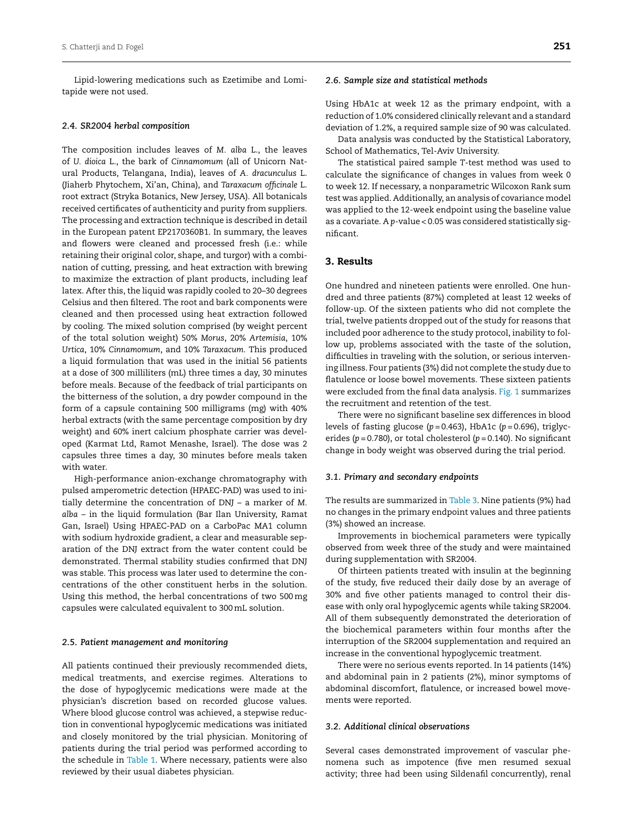Lipid-lowering medications such as Ezetimibe and Lomitapide were not used.

#### *2.4. SR2004 herbal composition*

The composition includes leaves of *M. alba* L., the leaves of *U. dioica* L., the bark of *Cinnamomum* (all of Unicorn Natural Products, Telangana, India), leaves of *A. dracunculus* L. (Jiaherb Phytochem, Xi'an, China), and *Taraxacum officinale* L. root extract (Stryka Botanics, New Jersey, USA). All botanicals received certificates of authenticity and purity from suppliers. The processing and extraction technique is described in detail in the European patent EP2170360B1. In summary, the leaves and flowers were cleaned and processed fresh (i.e.: while retaining their original color, shape, and turgor) with a combination of cutting, pressing, and heat extraction with brewing to maximize the extraction of plant products, including leaf latex. After this, the liquid was rapidly cooled to 20–30 degrees Celsius and then filtered. The root and bark components were cleaned and then processed using heat extraction followed by cooling. The mixed solution comprised (by weight percent of the total solution weight) 50% *Morus*, 20% *Artemisia*, 10% *Urtica*, 10% *Cinnamomum*, and 10% *Taraxacum*. This produced a liquid formulation that was used in the initial 56 patients at a dose of 300 milliliters (mL) three times a day, 30 minutes before meals. Because of the feedback of trial participants on the bitterness of the solution, a dry powder compound in the form of a capsule containing 500 milligrams (mg) with 40% herbal extracts (with the same percentage composition by dry weight) and 60% inert calcium phosphate carrier was developed (Karmat Ltd, Ramot Menashe, Israel). The dose was 2 capsules three times a day, 30 minutes before meals taken with water.

High-performance anion-exchange chromatography with pulsed amperometric detection (HPAEC-PAD) was used to initially determine the concentration of DNJ – a marker of *M. alba* – in the liquid formulation (Bar Ilan University, Ramat Gan, Israel) Using HPAEC-PAD on a CarboPac MA1 column with sodium hydroxide gradient, a clear and measurable separation of the DNJ extract from the water content could be demonstrated. Thermal stability studies confirmed that DNJ was stable. This process was later used to determine the concentrations of the other constituent herbs in the solution. Using this method, the herbal concentrations of two 500mg capsules were calculated equivalent to 300mL solution.

#### *2.5. Patient management and monitoring*

All patients continued their previously recommended diets, medical treatments, and exercise regimes. Alterations to the dose of hypoglycemic medications were made at the physician's discretion based on recorded glucose values. Where blood glucose control was achieved, a stepwise reduction in conventional hypoglycemic medications was initiated and closely monitored by the trial physician. Monitoring of patients during the trial period was performed according to the schedule in [Table 1. W](#page-2-0)here necessary, patients were also reviewed by their usual diabetes physician.

#### *2.6. Sample size and statistical methods*

Using HbA1c at week 12 as the primary endpoint, with a reduction of 1.0% considered clinically relevant and a standard deviation of 1.2%, a required sample size of 90 was calculated.

Data analysis was conducted by the Statistical Laboratory, School of Mathematics, Tel-Aviv University.

The statistical paired sample *T*-test method was used to calculate the significance of changes in values from week 0 to week 12. If necessary, a nonparametric Wilcoxon Rank sum test was applied. Additionally, an analysis of covariance model was applied to the 12-week endpoint using the baseline value as a covariate. A *p*-value < 0.05 was considered statistically significant.

#### **3. Results**

One hundred and nineteen patients were enrolled. One hundred and three patients (87%) completed at least 12 weeks of follow-up. Of the sixteen patients who did not complete the trial, twelve patients dropped out of the study for reasons that included poor adherence to the study protocol, inability to follow up, problems associated with the taste of the solution, difficulties in traveling with the solution, or serious intervening illness. Four patients (3%) did not complete the study due to flatulence or loose bowel movements. These sixteen patients were excluded from the final data analysis. [Fig. 1](#page-4-0) summarizes the recruitment and retention of the test.

There were no significant baseline sex differences in blood levels of fasting glucose (*p* = 0.463), HbA1c (*p* = 0.696), triglycerides (*p* = 0.780), or total cholesterol (*p* = 0.140). No significant change in body weight was observed during the trial period.

#### *3.1. Primary and secondary endpoints*

The results are summarized in [Table 3. N](#page-4-0)ine patients (9%) had no changes in the primary endpoint values and three patients (3%) showed an increase.

Improvements in biochemical parameters were typically observed from week three of the study and were maintained during supplementation with SR2004.

Of thirteen patients treated with insulin at the beginning of the study, five reduced their daily dose by an average of 30% and five other patients managed to control their disease with only oral hypoglycemic agents while taking SR2004. All of them subsequently demonstrated the deterioration of the biochemical parameters within four months after the interruption of the SR2004 supplementation and required an increase in the conventional hypoglycemic treatment.

There were no serious events reported. In 14 patients (14%) and abdominal pain in 2 patients (2%), minor symptoms of abdominal discomfort, flatulence, or increased bowel movements were reported.

#### *3.2. Additional clinical observations*

Several cases demonstrated improvement of vascular phenomena such as impotence (five men resumed sexual activity; three had been using Sildenafil concurrently), renal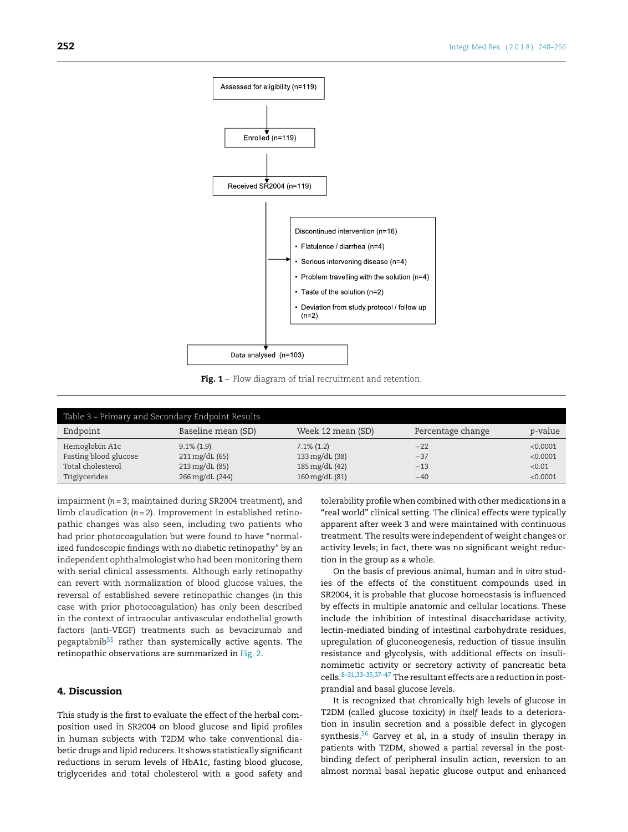<span id="page-4-0"></span>

**Fig. 1** – Flow diagram of trial recruitment and retention.

| Table 3 – Primary and Secondary Endpoint Results |                             |                   |                   |                 |  |  |  |  |  |
|--------------------------------------------------|-----------------------------|-------------------|-------------------|-----------------|--|--|--|--|--|
| Endpoint                                         | Baseline mean (SD)          | Week 12 mean (SD) | Percentage change | <i>p</i> -value |  |  |  |  |  |
| Hemoglobin A1c                                   | $9.1\%$ (1.9)               | $7.1\%$ (1.2)     | $-22$             | < 0.0001        |  |  |  |  |  |
| Fasting blood glucose                            | $211 \,\mathrm{mg/dL}$ (65) | 133 mg/dL (38)    | $-37$             | < 0.0001        |  |  |  |  |  |
| Total cholesterol                                | 213 mg/dL (85)              | 185 mg/dL (42)    | $-13$             | < 0.01          |  |  |  |  |  |
| Triglycerides                                    | 266 mg/dL (244)             | 160 mg/dL (81)    | $-40$             | < 0.0001        |  |  |  |  |  |

impairment (*n* = 3; maintained during SR2004 treatment), and limb claudication (*n* = 2). Improvement in established retinopathic changes was also seen, including two patients who had prior photocoagulation but were found to have "normalized fundoscopic findings with no diabetic retinopathy" by an independent ophthalmologist who had been monitoring them with serial clinical assessments. Although early retinopathy can revert with normalization of blood glucose values, the reversal of established severe retinopathic changes (in this case with prior photocoagulation) has only been described in the context of intraocular antivascular endothelial growth factors (anti-VEGF) treatments such as bevacizumab and pegaptabnib<sup>[55](#page-8-0)</sup> rather than systemically active agents. The retinopathic observations are summarized in [Fig. 2.](#page-5-0)

#### **4. Discussion**

This study is the first to evaluate the effect of the herbal composition used in SR2004 on blood glucose and lipid profiles in human subjects with T2DM who take conventional diabetic drugs and lipid reducers. It shows statistically significant reductions in serum levels of HbA1c, fasting blood glucose, triglycerides and total cholesterol with a good safety and tolerability profile when combined with other medications in a "real world" clinical setting. The clinical effects were typically apparent after week 3 and were maintained with continuous treatment. The results were independent of weight changes or activity levels; in fact, there was no significant weight reduction in the group as a whole.

On the basis of previous animal, human and *in vitro* studies of the effects of the constituent compounds used in SR2004, it is probable that glucose homeostasis is influenced by effects in multiple anatomic and cellular locations. These include the inhibition of intestinal disaccharidase activity, lectin-mediated binding of intestinal carbohydrate residues, upregulation of gluconeogenesis, reduction of tissue insulin resistance and glycolysis, with additional effects on insulinomimetic activity or secretory activity of pancreatic beta cells. $8-31,33-35,37-47$  The resultant effects are a reduction in postprandial and basal glucose levels.

It is recognized that chronically high levels of glucose in T2DM (called glucose toxicity) *in itself* leads to a deterioration in insulin secretion and a possible defect in glycogen synthesis.<sup>[56](#page-8-0)</sup> Garvey et al, in a study of insulin therapy in patients with T2DM, showed a partial reversal in the postbinding defect of peripheral insulin action, reversion to an almost normal basal hepatic glucose output and enhanced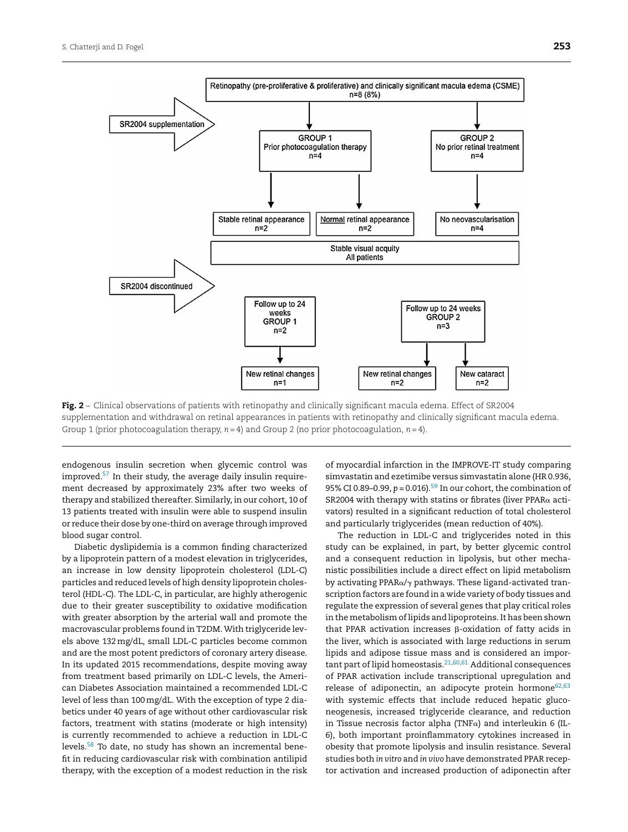<span id="page-5-0"></span>

**Fig. 2** – Clinical observations of patients with retinopathy and clinically significant macula edema. Effect of SR2004 supplementation and withdrawal on retinal appearances in patients with retinopathy and clinically significant macula edema. Group 1 (prior photocoagulation therapy, *n* = 4) and Group 2 (no prior photocoagulation, *n* = 4).

endogenous insulin secretion when glycemic control was improved.<sup>57</sup> In their study, the average daily insulin requirement decreased by approximately 23% after two weeks of therapy and stabilized thereafter. Similarly, in our cohort, 10 of 13 patients treated with insulin were able to suspend insulin or reduce their dose by one-third on average through improved blood sugar control.

Diabetic dyslipidemia is a common finding characterized by a lipoprotein pattern of a modest elevation in triglycerides, an increase in low density lipoprotein cholesterol (LDL-C) particles and reduced levels of high density lipoprotein cholesterol (HDL-C). The LDL-C, in particular, are highly atherogenic due to their greater susceptibility to oxidative modification with greater absorption by the arterial wall and promote the macrovascular problems found in T2DM. With triglyceride levels above 132mg/dL, small LDL-C particles become common and are the most potent predictors of coronary artery disease. In its updated 2015 recommendations, despite moving away from treatment based primarily on LDL-C levels, the American Diabetes Association maintained a recommended LDL-C level of less than 100mg/dL. With the exception of type 2 diabetics under 40 years of age without other cardiovascular risk factors, treatment with statins (moderate or high intensity) is currently recommended to achieve a reduction in LDL-C levels[.58](#page-8-0) To date, no study has shown an incremental benefit in reducing cardiovascular risk with combination antilipid therapy, with the exception of a modest reduction in the risk of myocardial infarction in the IMPROVE-IT study comparing simvastatin and ezetimibe versus simvastatin alone (HR 0.936, 95% CI 0.89-0.99,  $p = 0.016$ .<sup>[59](#page-8-0)</sup> In our cohort, the combination of  $SR2004$  with therapy with statins or fibrates (liver PPAR $\alpha$  activators) resulted in a significant reduction of total cholesterol and particularly triglycerides (mean reduction of 40%).

The reduction in LDL-C and triglycerides noted in this study can be explained, in part, by better glycemic control and a consequent reduction in lipolysis, but other mechanistic possibilities include a direct effect on lipid metabolism by activating PPAR $\alpha/\gamma$  pathways. These ligand-activated transcription factors are found in a wide variety of body tissues and regulate the expression of several genes that play critical roles in the metabolism of lipids and lipoproteins. It has been shown that PPAR activation increases  $\beta$ -oxidation of fatty acids in the liver, which is associated with large reductions in serum lipids and adipose tissue mass and is considered an important part of lipid homeostasis. $21,60,61$  Additional consequences of PPAR activation include transcriptional upregulation and release of adiponectin, an adipocyte protein hormone $62,63$ with systemic effects that include reduced hepatic gluconeogenesis, increased triglyceride clearance, and reduction in Tissue necrosis factor alpha (TNF $\alpha$ ) and interleukin 6 (IL-6), both important proinflammatory cytokines increased in obesity that promote lipolysis and insulin resistance. Several studies both *in vitro* and *in vivo* have demonstrated PPAR receptor activation and increased production of adiponectin after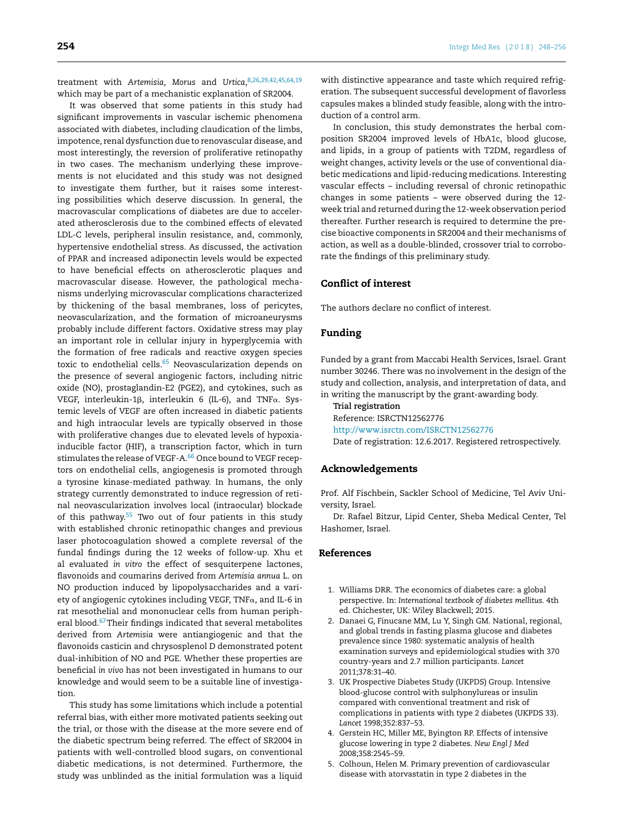<span id="page-6-0"></span>treatment with *Artemisia, Morus* and *Urtica*, [8,26,29,42,45,64,19](#page-7-0) which may be part of a mechanistic explanation of SR2004.

It was observed that some patients in this study had significant improvements in vascular ischemic phenomena associated with diabetes, including claudication of the limbs, impotence, renal dysfunction due to renovascular disease, and most interestingly, the reversion of proliferative retinopathy in two cases. The mechanism underlying these improvements is not elucidated and this study was not designed to investigate them further, but it raises some interesting possibilities which deserve discussion. In general, the macrovascular complications of diabetes are due to accelerated atherosclerosis due to the combined effects of elevated LDL-C levels, peripheral insulin resistance, and, commonly, hypertensive endothelial stress. As discussed, the activation of PPAR and increased adiponectin levels would be expected to have beneficial effects on atherosclerotic plaques and macrovascular disease. However, the pathological mechanisms underlying microvascular complications characterized by thickening of the basal membranes, loss of pericytes, neovascularization, and the formation of microaneurysms probably include different factors. Oxidative stress may play an important role in cellular injury in hyperglycemia with the formation of free radicals and reactive oxygen species toxic to endothelial cells. $65$  Neovascularization depends on the presence of several angiogenic factors, including nitric oxide (NO), prostaglandin-E2 (PGE2), and cytokines, such as VEGF, interleukin-1β, interleukin 6 (IL-6), and TNFα. Systemic levels of VEGF are often increased in diabetic patients and high intraocular levels are typically observed in those with proliferative changes due to elevated levels of hypoxiainducible factor (HIF), a transcription factor, which in turn stimulates the release of VEGF-A.<sup>66</sup> Once bound to VEGF receptors on endothelial cells, angiogenesis is promoted through a tyrosine kinase-mediated pathway. In humans, the only strategy currently demonstrated to induce regression of retinal neovascularization involves local (intraocular) blockade of this pathway.<sup>55</sup> Two out of four patients in this study with established chronic retinopathic changes and previous laser photocoagulation showed a complete reversal of the fundal findings during the 12 weeks of follow-up. Xhu et al evaluated *in vitro* the effect of sesquiterpene lactones, flavonoids and coumarins derived from *Artemisia annua* L. on NO production induced by lipopolysaccharides and a variety of angiogenic cytokines including VEGF, TNF $\alpha$ , and IL-6 in rat mesothelial and mononuclear cells from human peripheral blood[.67Th](#page-8-0)eir findings indicated that several metabolites derived from *Artemisia* were antiangiogenic and that the flavonoids casticin and chrysosplenol D demonstrated potent dual-inhibition of NO and PGE. Whether these properties are beneficial *in vivo* has not been investigated in humans to our knowledge and would seem to be a suitable line of investigation.

This study has some limitations which include a potential referral bias, with either more motivated patients seeking out the trial, or those with the disease at the more severe end of the diabetic spectrum being referred. The effect of SR2004 in patients with well-controlled blood sugars, on conventional diabetic medications, is not determined. Furthermore, the study was unblinded as the initial formulation was a liquid

with distinctive appearance and taste which required refrigeration. The subsequent successful development of flavorless capsules makes a blinded study feasible, along with the introduction of a control arm.

In conclusion, this study demonstrates the herbal composition SR2004 improved levels of HbA1c, blood glucose, and lipids, in a group of patients with T2DM, regardless of weight changes, activity levels or the use of conventional diabetic medications and lipid-reducing medications. Interesting vascular effects – including reversal of chronic retinopathic changes in some patients – were observed during the 12 week trial and returned during the 12-week observation period thereafter. Further research is required to determine the precise bioactive components in SR2004 and their mechanisms of action, as well as a double-blinded, crossover trial to corroborate the findings of this preliminary study.

#### **Conflict of interest**

The authors declare no conflict of interest.

#### **Funding**

Funded by a grant from Maccabi Health Services, Israel. Grant number 30246. There was no involvement in the design of the study and collection, analysis, and interpretation of data, and in writing the manuscript by the grant-awarding body.

**Trial registration** Reference: ISRCTN12562776 <http://www.isrctn.com/ISRCTN12562776> Date of registration: 12.6.2017. Registered retrospectively.

#### **Acknowledgements**

Prof. Alf Fischbein, Sackler School of Medicine, Tel Aviv University, Israel.

Dr. Rafael Bitzur, Lipid Center, Sheba Medical Center, Tel Hashomer, Israel.

#### **References**

- 1. Williams DRR. The economics of diabetes care: a global perspective. In: *International textbook of diabetes mellitus.* 4th ed. Chichester, UK: Wiley Blackwell; 2015.
- 2. Danaei G, Finucane MM, Lu Y, Singh GM. National, regional, and global trends in fasting plasma glucose and diabetes prevalence since 1980: systematic analysis of health examination surveys and epidemiological studies with 370 country-years and 2.7 million participants. *Lancet* 2011;378:31–40.
- 3. UK Prospective Diabetes Study (UKPDS) Group. Intensive blood-glucose control with sulphonylureas or insulin compared with conventional treatment and risk of complications in patients with type 2 diabetes (UKPDS 33). *Lancet* 1998;352:837–53.
- 4. Gerstein HC, Miller ME, Byington RP. Effects of intensive glucose lowering in type 2 diabetes. *New Engl J Med* 2008;358:2545–59.
- 5. Colhoun, Helen M. Primary prevention of cardiovascular disease with atorvastatin in type 2 diabetes in the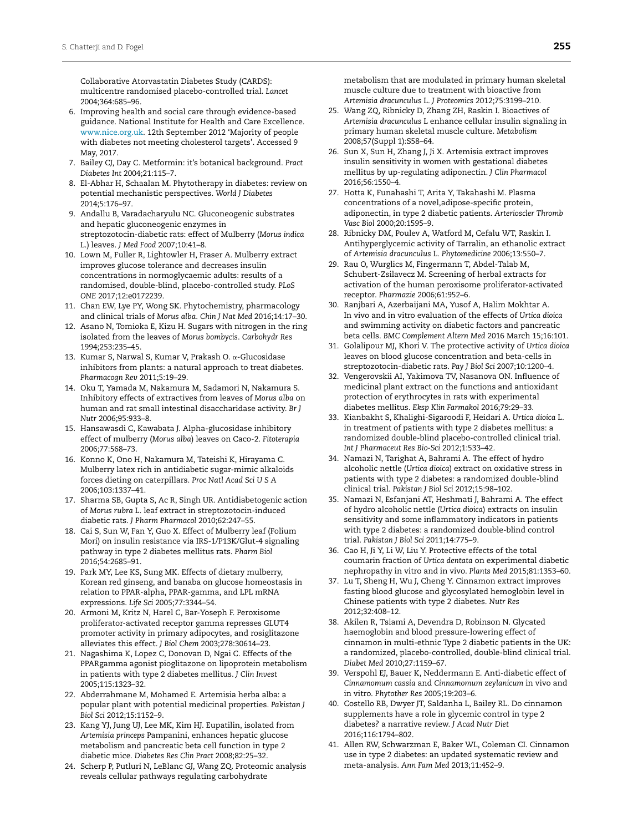<span id="page-7-0"></span>Collaborative Atorvastatin Diabetes Study (CARDS): multicentre randomised placebo-controlled trial. *Lancet* 2004;364:685–96.

- 6. Improving health and social care through evidence-based guidance. National Institute for Health and Care Excellence. [www.nice.org.uk](http://www.nice.org.uk/). 12th September 2012 'Majority of people with diabetes not meeting cholesterol targets'. Accessed 9 May, 2017.
- 7. Bailey CJ, Day C. Metformin: it's botanical background. *Pract Diabetes Int* 2004;21:115–7.
- 8. El-Abhar H, Schaalan M. Phytotherapy in diabetes: review on potential mechanistic perspectives. *World J Diabetes* 2014;5:176–97.
- 9. Andallu B, Varadacharyulu NC. Gluconeogenic substrates and hepatic gluconeogenic enzymes in streptozotocin-diabetic rats: effect of Mulberry (*Morus indica* L.) leaves. *J Med Food* 2007;10:41–8.
- 10. Lown M, Fuller R, Lightowler H, Fraser A. Mulberry extract improves glucose tolerance and decreases insulin concentrations in normoglycaemic adults: results of a randomised, double-blind, placebo-controlled study. *PLoS ONE* 2017;12:e0172239.
- 11. Chan EW, Lye PY, Wong SK. Phytochemistry, pharmacology and clinical trials of *Morus alba*. *Chin J Nat Med* 2016;14:17–30.
- 12. Asano N, Tomioka E, Kizu H. Sugars with nitrogen in the ring isolated from the leaves of *Morus bombycis*. *Carbohydr Res* 1994;253:235–45.
- 13. Kumar S, Narwal S, Kumar V, Prakash O.  $\alpha$ -Glucosidase inhibitors from plants: a natural approach to treat diabetes. *Pharmacogn Rev* 2011;5:19–29.
- 14. Oku T, Yamada M, Nakamura M, Sadamori N, Nakamura S. Inhibitory effects of extractives from leaves of *Morus alba* on human and rat small intestinal disaccharidase activity. *Br J Nutr* 2006;95:933–8.
- 15. Hansawasdi C, Kawabata J. Alpha-glucosidase inhibitory effect of mulberry (*Morus alba*) leaves on Caco-2. *Fitoterapia* 2006;77:568–73.
- 16. Konno K, Ono H, Nakamura M, Tateishi K, Hirayama C. Mulberry latex rich in antidiabetic sugar-mimic alkaloids forces dieting on caterpillars. *Proc Natl Acad SciUSA* 2006;103:1337–41.
- 17. Sharma SB, Gupta S, Ac R, Singh UR. Antidiabetogenic action of *Morus rubra* L. leaf extract in streptozotocin-induced diabetic rats. *J Pharm Pharmacol* 2010;62:247–55.
- 18. Cai S, Sun W, Fan Y, Guo X. Effect of Mulberry leaf (Folium Mori) on insulin resistance via IRS-1/P13K/Glut-4 signaling pathway in type 2 diabetes mellitus rats. *Pharm Biol* 2016;54:2685–91.
- 19. Park MY, Lee KS, Sung MK. Effects of dietary mulberry, Korean red ginseng, and banaba on glucose homeostasis in relation to PPAR-alpha, PPAR-gamma, and LPL mRNA expressions. *Life Sci* 2005;77:3344–54.
- 20. Armoni M, Kritz N, Harel C, Bar-Yoseph F. Peroxisome proliferator-activated receptor gamma represses GLUT4 promoter activity in primary adipocytes, and rosiglitazone alleviates this effect. *J Biol Chem* 2003;278:30614–23.
- 21. Nagashima K, Lopez C, Donovan D, Ngai C. Effects of the PPARgamma agonist pioglitazone on lipoprotein metabolism in patients with type 2 diabetes mellitus. *J Clin Invest* 2005;115:1323–32.
- 22. Abderrahmane M, Mohamed E. Artemisia herba alba: a popular plant with potential medicinal properties. *Pakistan J Biol Sci* 2012;15:1152–9.
- 23. Kang YJ, Jung UJ, Lee MK, Kim HJ. Eupatilin, isolated from *Artemisia princeps* Pampanini, enhances hepatic glucose metabolism and pancreatic beta cell function in type 2 diabetic mice. *Diabetes Res Clin Pract* 2008;82:25–32.
- 24. Scherp P, Putluri N, LeBlanc GJ, Wang ZQ. Proteomic analysis reveals cellular pathways regulating carbohydrate

metabolism that are modulated in primary human skeletal muscle culture due to treatment with bioactive from *Artemisia dracunculus* L. *J Proteomics* 2012;75:3199–210.

- 25. Wang ZQ, Ribnicky D, Zhang ZH, Raskin I. Bioactives of *Artemisia dracunculus* L enhance cellular insulin signaling in primary human skeletal muscle culture. *Metabolism* 2008;57(Suppl 1):S58–64.
- 26. Sun X, Sun H, Zhang J, Ji X. Artemisia extract improves insulin sensitivity in women with gestational diabetes mellitus by up-regulating adiponectin. *J Clin Pharmacol* 2016;56:1550–4.
- 27. Hotta K, Funahashi T, Arita Y, Takahashi M. Plasma concentrations of a novel,adipose-specific protein, adiponectin, in type 2 diabetic patients. *Arterioscler Thromb Vasc Biol* 2000;20:1595–9.
- 28. Ribnicky DM, Poulev A, Watford M, Cefalu WT, Raskin I. Antihyperglycemic activity of Tarralin, an ethanolic extract of *Artemisia dracunculus* L. *Phytomedicine* 2006;13:550–7.
- 29. Rau O, Wurglics M, Fingermann T, Abdel-Talab M, Schubert-Zsilavecz M. Screening of herbal extracts for activation of the human peroxisome proliferator-activated receptor. *Pharmazie* 2006;61:952–6.
- 30. Ranjbari A, Azerbaijani MA, Yusof A, Halim Mokhtar A. In vivo and in vitro evaluation of the effects of *Urtica dioica* and swimming activity on diabetic factors and pancreatic beta cells. *BMC Complement Altern Med* 2016 March 15;16:101.
- 31. Golalipour MJ, Khori V. The protective activity of *Urtica dioica* leaves on blood glucose concentration and beta-cells in streptozotocin-diabetic rats. *Pay J Biol Sci* 2007;10:1200–4.
- 32. Vengerovskii AI, Yakimova TV, Nasanova ON. Influence of medicinal plant extract on the functions and antioxidant protection of erythrocytes in rats with experimental diabetes mellitus. *Eksp Klin Farmakol* 2016;79:29–33.
- 33. Kianbakht S, Khalighi-Sigaroodi F, Heidari A. *Urtica dioica* L. in treatment of patients with type 2 diabetes mellitus: a randomized double-blind placebo-controlled clinical trial. *Int J Pharmaceut Res Bio-Sci* 2012;1:533–42.
- 34. Namazi N, Tarighat A, Bahrami A. The effect of hydro alcoholic nettle (*Urtica dioica*) extract on oxidative stress in patients with type 2 diabetes: a randomized double-blind clinical trial. *Pakistan J Biol Sci* 2012;15:98–102.
- 35. Namazi N, Esfanjani AT, Heshmati J, Bahrami A. The effect of hydro alcoholic nettle (*Urtica dioica*) extracts on insulin sensitivity and some inflammatory indicators in patients with type 2 diabetes: a randomized double-blind control trial. *Pakistan J Biol Sci* 2011;14:775–9.
- 36. Cao H, Ji Y, Li W, Liu Y. Protective effects of the total coumarin fraction of *Urtica dentata* on experimental diabetic nephropathy in vitro and in vivo. *Plants Med* 2015;81:1353–60.
- 37. Lu T, Sheng H, Wu J, Cheng Y. Cinnamon extract improves fasting blood glucose and glycosylated hemoglobin level in Chinese patients with type 2 diabetes. *Nutr Res* 2012;32:408–12.
- 38. Akilen R, Tsiami A, Devendra D, Robinson N. Glycated haemoglobin and blood pressure-lowering effect of cinnamon in multi-ethnic Type 2 diabetic patients in the UK: a randomized, placebo-controlled, double-blind clinical trial. *Diabet Med* 2010;27:1159–67.
- 39. Verspohl EJ, Bauer K, Neddermann E. Anti-diabetic effect of *Cinnamomum cassia* and *Cinnamomum zeylanicum* in vivo and in vitro. *Phytother Res* 2005;19:203–6.
- 40. Costello RB, Dwyer JT, Saldanha L, Bailey RL. Do cinnamon supplements have a role in glycemic control in type 2 diabetes? a narrative review. *J Acad Nutr Diet* 2016;116:1794–802.
- 41. Allen RW, Schwarzman E, Baker WL, Coleman CI. Cinnamon use in type 2 diabetes: an updated systematic review and meta-analysis. *Ann Fam Med* 2013;11:452–9.